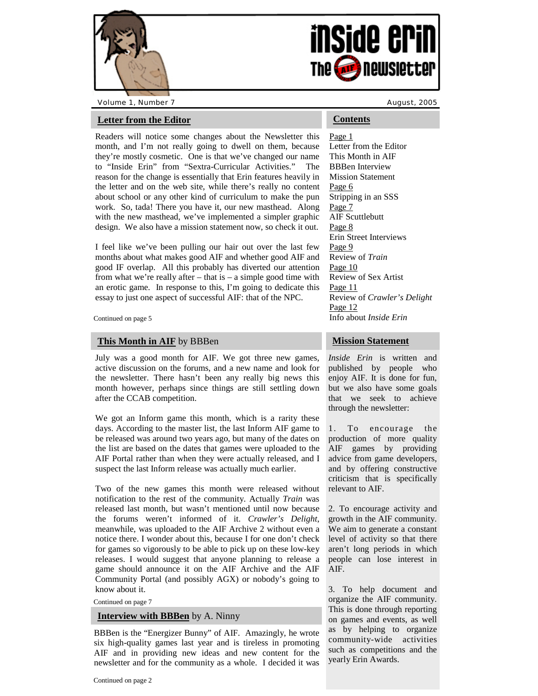



Volume 1, Number 7 August, 2005

# **Letter from the Editor Contents**

Readers will notice some changes about the Newsletter this month, and I'm not really going to dwell on them, because they're mostly cosmetic. One is that we've changed our name to "Inside Erin" from "Sextra-Curricular Activities." The reason for the change is essentially that Erin features heavily in the letter and on the web site, while there's really no content about school or any other kind of curriculum to make the pun work. So, tada! There you have it, our new masthead. Along with the new masthead, we've implemented a simpler graphic design. We also have a mission statement now, so check it out.

I feel like we've been pulling our hair out over the last few months about what makes good AIF and whether good AIF and good IF overlap. All this probably has diverted our attention from what we're really after  $-$  that is  $-$  a simple good time with an erotic game. In response to this, I'm going to dedicate this essay to just one aspect of successful AIF: that of the NPC.

[Continued on page 5](#page-4-0) 

## **This Month in AIF** by BBBen

July was a good month for AIF. We got three new games, active discussion on the forums, and a new name and look for the newsletter. There hasn't been any really big news this month however, perhaps since things are still settling down after the CCAB competition.

We got an Inform game this month, which is a rarity these days. According to the master list, the last Inform AIF game to be released was around two years ago, but many of the dates on the list are based on the dates that games were uploaded to the AIF Portal rather than when they were actually released, and I suspect the last Inform release was actually much earlier.

Two of the new games this month were released without notification to the rest of the community. Actually *Train* was released last month, but wasn't mentioned until now because the forums weren't informed of it. *Crawler's Delight*, meanwhile, was uploaded to the AIF Archive 2 without even a notice there. I wonder about this, because I for one don't check for games so vigorously to be able to pick up on these low-key releases. I would suggest that anyone planning to release a game should announce it on the AIF Archive and the AIF Community Portal (and possibly AGX) or nobody's going to know about it.

[Continued on page 7](#page-6-1) 

## **Interview with BBBen** by A. Ninny

BBBen is the "Energizer Bunny" of AIF. Amazingly, he wrote six high-quality games last year and is tireless in promoting AIF and in providing new ideas and new content for the newsletter and for the community as a whole. I decided it was

Page 1 Letter from the Editor This Month in AIF BBBen Interview Mission Statement Page 6 [Stripping in an SSS](#page-5-0)  Page 7 [AIF Scuttlebutt](#page-6-0)  Page 8 [Erin Street Interviews](#page-7-0)  Page 9 [Review of](#page-8-0) *Train*  Page 10 [Review of Sex Artist](#page-9-0)  Page 11 Review of *[Crawler's Delight](#page-10-0)*  Page 12 Info about *[Inside Erin](#page-11-0)* 

## **Mission Statement**

*Inside Erin* is written and published by people who enjoy AIF. It is done for fun, but we also have some goals that we seek to achieve through the newsletter:

1. To encourage the production of more quality AIF games by providing advice from game developers, and by offering constructive criticism that is specifically relevant to AIF.

2. To encourage activity and growth in the AIF community. We aim to generate a constant level of activity so that there aren't long periods in which people can lose interest in AIF.

3. To help document and organize the AIF community. This is done through reporting on games and events, as well as by helping to organize community-wide activities such as competitions and the yearly Erin Awards.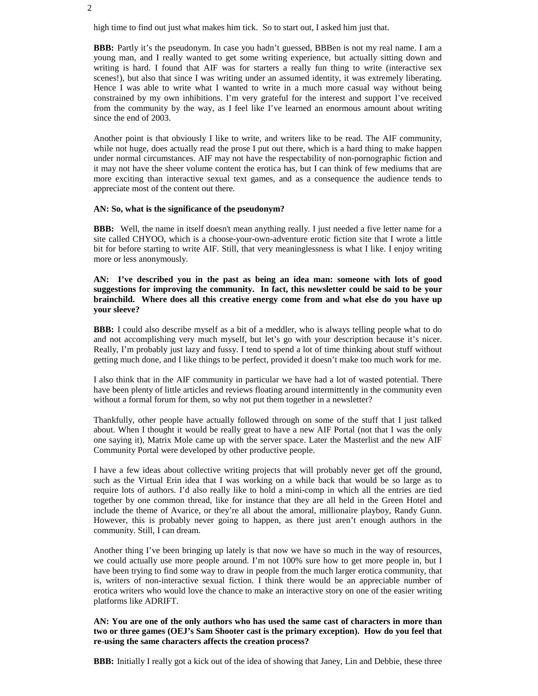high time to find out just what makes him tick. So to start out, I asked him just that.

**BBB:** Partly it's the pseudonym. In case you hadn't guessed, BBBen is not my real name. I am a young man, and I really wanted to get some writing experience, but actually sitting down and writing is hard. I found that AIF was for starters a really fun thing to write (interactive sex scenes!), but also that since I was writing under an assumed identity, it was extremely liberating. Hence I was able to write what I wanted to write in a much more casual way without being constrained by my own inhibitions. I'm very grateful for the interest and support I've received from the community by the way, as I feel like I've learned an enormous amount about writing since the end of 2003.

Another point is that obviously I like to write, and writers like to be read. The AIF community, while not huge, does actually read the prose I put out there, which is a hard thing to make happen under normal circumstances. AIF may not have the respectability of non-pornographic fiction and it may not have the sheer volume content the erotica has, but I can think of few mediums that are more exciting than interactive sexual text games, and as a consequence the audience tends to appreciate most of the content out there.

## **AN: So, what is the significance of the pseudonym?**

**BBB:** Well, the name in itself doesn't mean anything really. I just needed a five letter name for a site called CHYOO, which is a choose-your-own-adventure erotic fiction site that I wrote a little bit for before starting to write AIF. Still, that very meaninglessness is what I like. I enjoy writing more or less anonymously.

# **AN: I've described you in the past as being an idea man: someone with lots of good suggestions for improving the community. In fact, this newsletter could be said to be your brainchild. Where does all this creative energy come from and what else do you have up your sleeve?**

**BBB:** I could also describe myself as a bit of a meddler, who is always telling people what to do and not accomplishing very much myself, but let's go with your description because it's nicer. Really, I'm probably just lazy and fussy. I tend to spend a lot of time thinking about stuff without getting much done, and I like things to be perfect, provided it doesn't make too much work for me.

I also think that in the AIF community in particular we have had a lot of wasted potential. There have been plenty of little articles and reviews floating around intermittently in the community even without a formal forum for them, so why not put them together in a newsletter?

Thankfully, other people have actually followed through on some of the stuff that I just talked about. When I thought it would be really great to have a new AIF Portal (not that I was the only one saying it), Matrix Mole came up with the server space. Later the Masterlist and the new AIF Community Portal were developed by other productive people.

I have a few ideas about collective writing projects that will probably never get off the ground, such as the Virtual Erin idea that I was working on a while back that would be so large as to require lots of authors. I'd also really like to hold a mini-comp in which all the entries are tied together by one common thread, like for instance that they are all held in the Green Hotel and include the theme of Avarice, or they're all about the amoral, millionaire playboy, Randy Gunn. However, this is probably never going to happen, as there just aren't enough authors in the community. Still, I can dream.

Another thing I've been bringing up lately is that now we have so much in the way of resources, we could actually use more people around. I'm not 100% sure how to get more people in, but I have been trying to find some way to draw in people from the much larger erotica community, that is, writers of non-interactive sexual fiction. I think there would be an appreciable number of erotica writers who would love the chance to make an interactive story on one of the easier writing platforms like ADRIFT.

**AN: You are one of the only authors who has used the same cast of characters in more than two or three games (OEJ's Sam Shooter cast is the primary exception). How do you feel that re-using the same characters affects the creation process?** 

**BBB:** Initially I really got a kick out of the idea of showing that Janey, Lin and Debbie, these three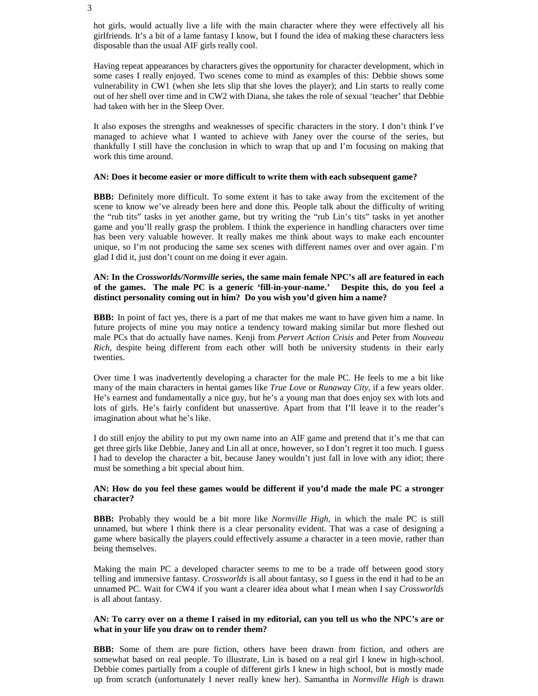hot girls, would actually live a life with the main character where they were effectively all his girlfriends. It's a bit of a lame fantasy I know, but I found the idea of making these characters less disposable than the usual AIF girls really cool.

Having repeat appearances by characters gives the opportunity for character development, which in some cases I really enjoyed. Two scenes come to mind as examples of this: Debbie shows some vulnerability in CW1 (when she lets slip that she loves the player); and Lin starts to really come out of her shell over time and in CW2 with Diana, she takes the role of sexual 'teacher' that Debbie had taken with her in the Sleep Over.

It also exposes the strengths and weaknesses of specific characters in the story. I don't think I've managed to achieve what I wanted to achieve with Janey over the course of the series, but thankfully I still have the conclusion in which to wrap that up and I'm focusing on making that work this time around.

#### **AN: Does it become easier or more difficult to write them with each subsequent game?**

**BBB:** Definitely more difficult. To some extent it has to take away from the excitement of the scene to know we've already been here and done this. People talk about the difficulty of writing the "rub tits" tasks in yet another game, but try writing the "rub Lin's tits" tasks in yet another game and you'll really grasp the problem. I think the experience in handling characters over time has been very valuable however. It really makes me think about ways to make each encounter unique, so I'm not producing the same sex scenes with different names over and over again. I'm glad I did it, just don't count on me doing it ever again.

# **AN: In the** *Crossworlds/Normville* **series, the same main female NPC's all are featured in each of the games. The male PC is a generic 'fill-in-your-name.' Despite this, do you feel a distinct personality coming out in him? Do you wish you'd given him a name?**

**BBB:** In point of fact yes, there is a part of me that makes me want to have given him a name. In future projects of mine you may notice a tendency toward making similar but more fleshed out male PCs that do actually have names. Kenji from *Pervert Action Crisis* and Peter from *Nouveau Rich*, despite being different from each other will both be university students in their early twenties.

Over time I was inadvertently developing a character for the male PC. He feels to me a bit like many of the main characters in hentai games like *True Love* or *Runaway City*, if a few years older. He's earnest and fundamentally a nice guy, but he's a young man that does enjoy sex with lots and lots of girls. He's fairly confident but unassertive. Apart from that I'll leave it to the reader's imagination about what he's like.

I do still enjoy the ability to put my own name into an AIF game and pretend that it's me that can get three girls like Debbie, Janey and Lin all at once, however, so I don't regret it too much. I guess I had to develop the character a bit, because Janey wouldn't just fall in love with any idiot; there must be something a bit special about him.

## **AN: How do you feel these games would be different if you'd made the male PC a stronger character?**

**BBB:** Probably they would be a bit more like *Normville High*, in which the male PC is still unnamed, but where I think there is a clear personality evident. That was a case of designing a game where basically the players could effectively assume a character in a teen movie, rather than being themselves.

Making the main PC a developed character seems to me to be a trade off between good story telling and immersive fantasy. *Crossworlds* is all about fantasy, so I guess in the end it had to be an unnamed PC. Wait for CW4 if you want a clearer idea about what I mean when I say *Crossworlds* is all about fantasy.

## **AN: To carry over on a theme I raised in my editorial, can you tell us who the NPC's are or what in your life you draw on to render them?**

**BBB:** Some of them are pure fiction, others have been drawn from fiction, and others are somewhat based on real people. To illustrate, Lin is based on a real girl I knew in high-school. Debbie comes partially from a couple of different girls I knew in high school, but is mostly made up from scratch (unfortunately I never really knew her). Samantha in *Normville High* is drawn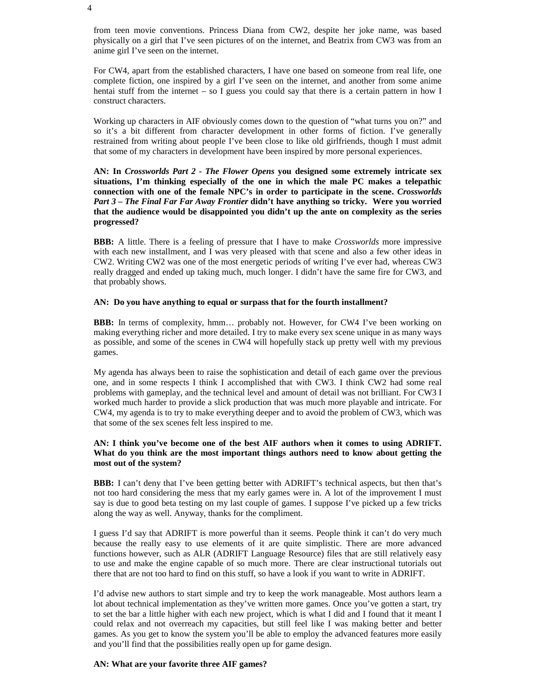from teen movie conventions. Princess Diana from CW2, despite her joke name, was based physically on a girl that I've seen pictures of on the internet, and Beatrix from CW3 was from an anime girl I've seen on the internet.

For CW4, apart from the established characters, I have one based on someone from real life, one complete fiction, one inspired by a girl I've seen on the internet, and another from some anime hentai stuff from the internet – so I guess you could say that there is a certain pattern in how I construct characters.

Working up characters in AIF obviously comes down to the question of "what turns you on?" and so it's a bit different from character development in other forms of fiction. I've generally restrained from writing about people I've been close to like old girlfriends, though I must admit that some of my characters in development have been inspired by more personal experiences.

## **AN: In** *Crossworlds Part 2 - The Flower Opens* **you designed some extremely intricate sex situations, I'm thinking especially of the one in which the male PC makes a telepathic connection with one of the female NPC's in order to participate in the scene.** *Crossworlds Part 3 – The Final Far Far Away Frontier* **didn't have anything so tricky. Were you worried that the audience would be disappointed you didn't up the ante on complexity as the series progressed?**

**BBB:** A little. There is a feeling of pressure that I have to make *Crossworlds* more impressive with each new installment, and I was very pleased with that scene and also a few other ideas in CW2. Writing CW2 was one of the most energetic periods of writing I've ever had, whereas CW3 really dragged and ended up taking much, much longer. I didn't have the same fire for CW3, and that probably shows.

## **AN: Do you have anything to equal or surpass that for the fourth installment?**

**BBB:** In terms of complexity, hmm... probably not. However, for CW4 I've been working on making everything richer and more detailed. I try to make every sex scene unique in as many ways as possible, and some of the scenes in CW4 will hopefully stack up pretty well with my previous games.

My agenda has always been to raise the sophistication and detail of each game over the previous one, and in some respects I think I accomplished that with CW3. I think CW2 had some real problems with gameplay, and the technical level and amount of detail was not brilliant. For CW3 I worked much harder to provide a slick production that was much more playable and intricate. For CW4, my agenda is to try to make everything deeper and to avoid the problem of CW3, which was that some of the sex scenes felt less inspired to me.

## **AN: I think you've become one of the best AIF authors when it comes to using ADRIFT. What do you think are the most important things authors need to know about getting the most out of the system?**

**BBB:** I can't deny that I've been getting better with ADRIFT's technical aspects, but then that's not too hard considering the mess that my early games were in. A lot of the improvement I must say is due to good beta testing on my last couple of games. I suppose I've picked up a few tricks along the way as well. Anyway, thanks for the compliment.

I guess I'd say that ADRIFT is more powerful than it seems. People think it can't do very much because the really easy to use elements of it are quite simplistic. There are more advanced functions however, such as ALR (ADRIFT Language Resource) files that are still relatively easy to use and make the engine capable of so much more. There are clear instructional tutorials out there that are not too hard to find on this stuff, so have a look if you want to write in ADRIFT.

I'd advise new authors to start simple and try to keep the work manageable. Most authors learn a lot about technical implementation as they've written more games. Once you've gotten a start, try to set the bar a little higher with each new project, which is what I did and I found that it meant I could relax and not overreach my capacities, but still feel like I was making better and better games. As you get to know the system you'll be able to employ the advanced features more easily and you'll find that the possibilities really open up for game design.

#### **AN: What are your favorite three AIF games?**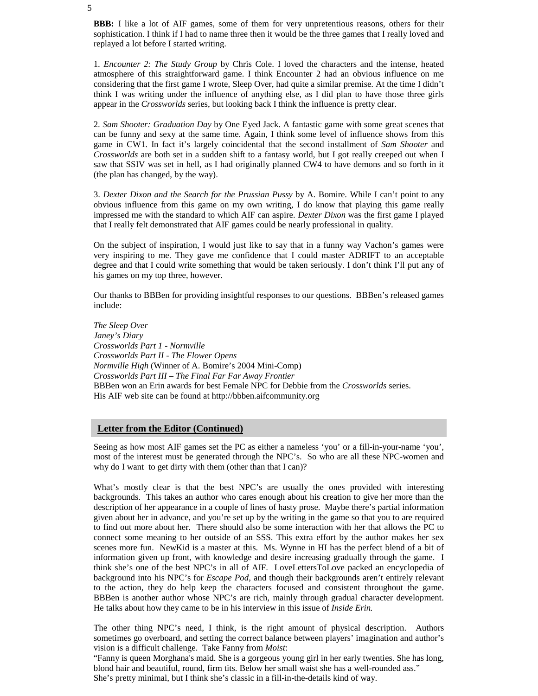**BBB:** I like a lot of AIF games, some of them for very unpretentious reasons, others for their sophistication. I think if I had to name three then it would be the three games that I really loved and replayed a lot before I started writing.

1. *Encounter 2: The Study Group* by Chris Cole. I loved the characters and the intense, heated atmosphere of this straightforward game. I think Encounter 2 had an obvious influence on me considering that the first game I wrote, Sleep Over, had quite a similar premise. At the time I didn't think I was writing under the influence of anything else, as I did plan to have those three girls appear in the *Crossworlds* series, but looking back I think the influence is pretty clear.

2. *Sam Shooter: Graduation Day* by One Eyed Jack. A fantastic game with some great scenes that can be funny and sexy at the same time. Again, I think some level of influence shows from this game in CW1. In fact it's largely coincidental that the second installment of *Sam Shooter* and *Crossworlds* are both set in a sudden shift to a fantasy world, but I got really creeped out when I saw that SSIV was set in hell, as I had originally planned CW4 to have demons and so forth in it (the plan has changed, by the way).

3. *Dexter Dixon and the Search for the Prussian Pussy* by A. Bomire. While I can't point to any obvious influence from this game on my own writing, I do know that playing this game really impressed me with the standard to which AIF can aspire. *Dexter Dixon* was the first game I played that I really felt demonstrated that AIF games could be nearly professional in quality.

On the subject of inspiration, I would just like to say that in a funny way Vachon's games were very inspiring to me. They gave me confidence that I could master ADRIFT to an acceptable degree and that I could write something that would be taken seriously. I don't think I'll put any of his games on my top three, however.

Our thanks to BBBen for providing insightful responses to our questions. BBBen's released games include:

*The Sleep Over Janey's Diary Crossworlds Part 1 - Normville Crossworlds Part II - The Flower Opens Normville High* (Winner of A. Bomire's 2004 Mini-Comp) *Crossworlds Part III – The Final Far Far Away Frontier*  BBBen won an Erin awards for best Female NPC for Debbie from the *Crossworlds* series. His AIF web site can be found at http://bbben.aifcommunity.org

#### <span id="page-4-0"></span>**Letter from the Editor (Continued)**

Seeing as how most AIF games set the PC as either a nameless 'you' or a fill-in-your-name 'you', most of the interest must be generated through the NPC's. So who are all these NPC-women and why do I want to get dirty with them (other than that I can)?

What's mostly clear is that the best NPC's are usually the ones provided with interesting backgrounds. This takes an author who cares enough about his creation to give her more than the description of her appearance in a couple of lines of hasty prose. Maybe there's partial information given about her in advance, and you're set up by the writing in the game so that you to are required to find out more about her. There should also be some interaction with her that allows the PC to connect some meaning to her outside of an SSS. This extra effort by the author makes her sex scenes more fun. NewKid is a master at this. Ms. Wynne in HI has the perfect blend of a bit of information given up front, with knowledge and desire increasing gradually through the game. I think she's one of the best NPC's in all of AIF. LoveLettersToLove packed an encyclopedia of background into his NPC's for *Escape Pod*, and though their backgrounds aren't entirely relevant to the action, they do help keep the characters focused and consistent throughout the game. BBBen is another author whose NPC's are rich, mainly through gradual character development. He talks about how they came to be in his interview in this issue of *Inside Erin.*

The other thing NPC's need, I think, is the right amount of physical description. Authors sometimes go overboard, and setting the correct balance between players' imagination and author's vision is a difficult challenge. Take Fanny from *Moist*:

"Fanny is queen Morghana's maid. She is a gorgeous young girl in her early twenties. She has long, blond hair and beautiful, round, firm tits. Below her small waist she has a well-rounded ass." She's pretty minimal, but I think she's classic in a fill-in-the-details kind of way.

5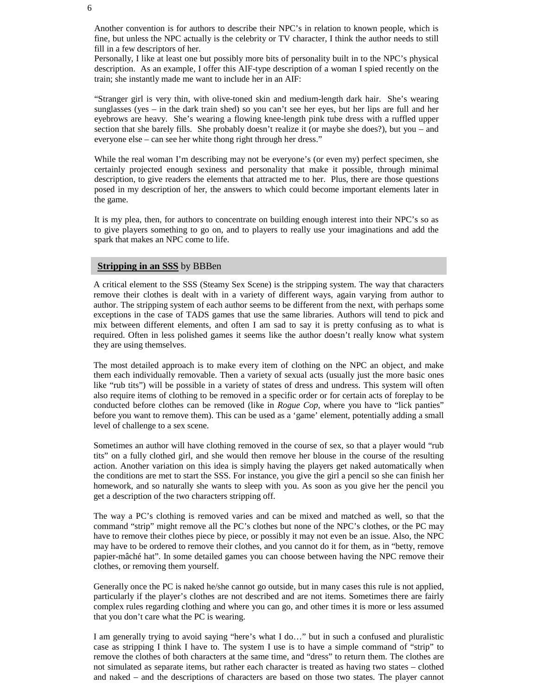Another convention is for authors to describe their NPC's in relation to known people, which is fine, but unless the NPC actually is the celebrity or TV character, I think the author needs to still fill in a few descriptors of her.

Personally, I like at least one but possibly more bits of personality built in to the NPC's physical description. As an example, I offer this AIF-type description of a woman I spied recently on the train; she instantly made me want to include her in an AIF:

"Stranger girl is very thin, with olive-toned skin and medium-length dark hair. She's wearing sunglasses (yes – in the dark train shed) so you can't see her eyes, but her lips are full and her eyebrows are heavy. She's wearing a flowing knee-length pink tube dress with a ruffled upper section that she barely fills. She probably doesn't realize it (or maybe she does?), but you – and everyone else – can see her white thong right through her dress."

While the real woman I'm describing may not be everyone's (or even my) perfect specimen, she certainly projected enough sexiness and personality that make it possible, through minimal description, to give readers the elements that attracted me to her. Plus, there are those questions posed in my description of her, the answers to which could become important elements later in the game.

<span id="page-5-0"></span>It is my plea, then, for authors to concentrate on building enough interest into their NPC's so as to give players something to go on, and to players to really use your imaginations and add the spark that makes an NPC come to life.

# **Stripping in an SSS** by BBBen

A critical element to the SSS (Steamy Sex Scene) is the stripping system. The way that characters remove their clothes is dealt with in a variety of different ways, again varying from author to author. The stripping system of each author seems to be different from the next, with perhaps some exceptions in the case of TADS games that use the same libraries. Authors will tend to pick and mix between different elements, and often I am sad to say it is pretty confusing as to what is required. Often in less polished games it seems like the author doesn't really know what system they are using themselves.

The most detailed approach is to make every item of clothing on the NPC an object, and make them each individually removable. Then a variety of sexual acts (usually just the more basic ones like "rub tits") will be possible in a variety of states of dress and undress. This system will often also require items of clothing to be removed in a specific order or for certain acts of foreplay to be conducted before clothes can be removed (like in *Rogue Cop*, where you have to "lick panties" before you want to remove them). This can be used as a 'game' element, potentially adding a small level of challenge to a sex scene.

Sometimes an author will have clothing removed in the course of sex, so that a player would "rub tits" on a fully clothed girl, and she would then remove her blouse in the course of the resulting action. Another variation on this idea is simply having the players get naked automatically when the conditions are met to start the SSS. For instance, you give the girl a pencil so she can finish her homework, and so naturally she wants to sleep with you. As soon as you give her the pencil you get a description of the two characters stripping off.

The way a PC's clothing is removed varies and can be mixed and matched as well, so that the command "strip" might remove all the PC's clothes but none of the NPC's clothes, or the PC may have to remove their clothes piece by piece, or possibly it may not even be an issue. Also, the NPC may have to be ordered to remove their clothes, and you cannot do it for them, as in "betty, remove papier-mâché hat". In some detailed games you can choose between having the NPC remove their clothes, or removing them yourself.

Generally once the PC is naked he/she cannot go outside, but in many cases this rule is not applied, particularly if the player's clothes are not described and are not items. Sometimes there are fairly complex rules regarding clothing and where you can go, and other times it is more or less assumed that you don't care what the PC is wearing.

I am generally trying to avoid saying "here's what I do…" but in such a confused and pluralistic case as stripping I think I have to. The system I use is to have a simple command of "strip" to remove the clothes of both characters at the same time, and "dress" to return them. The clothes are not simulated as separate items, but rather each character is treated as having two states – clothed and naked – and the descriptions of characters are based on those two states. The player cannot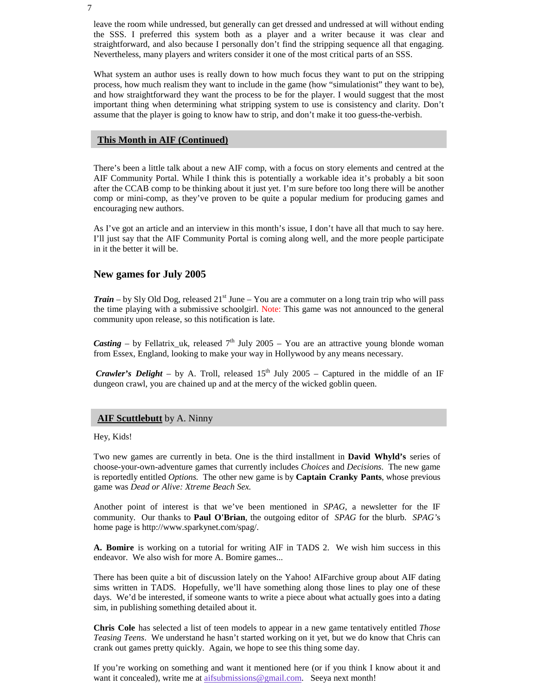leave the room while undressed, but generally can get dressed and undressed at will without ending the SSS. I preferred this system both as a player and a writer because it was clear and straightforward, and also because I personally don't find the stripping sequence all that engaging. Nevertheless, many players and writers consider it one of the most critical parts of an SSS.

What system an author uses is really down to how much focus they want to put on the stripping process, how much realism they want to include in the game (how "simulationist" they want to be), and how straightforward they want the process to be for the player. I would suggest that the most important thing when determining what stripping system to use is consistency and clarity. Don't assume that the player is going to know haw to strip, and don't make it too guess-the-verbish.

# <span id="page-6-1"></span>**This Month in AIF (Continued)**

There's been a little talk about a new AIF comp, with a focus on story elements and centred at the AIF Community Portal. While I think this is potentially a workable idea it's probably a bit soon after the CCAB comp to be thinking about it just yet. I'm sure before too long there will be another comp or mini-comp, as they've proven to be quite a popular medium for producing games and encouraging new authors.

As I've got an article and an interview in this month's issue, I don't have all that much to say here. I'll just say that the AIF Community Portal is coming along well, and the more people participate in it the better it will be.

# **New games for July 2005**

*Train* – by Sly Old Dog, released  $21<sup>st</sup>$  June – You are a commuter on a long train trip who will pass the time playing with a submissive schoolgirl. Note: This game was not announced to the general community upon release, so this notification is late.

Casting – by Fellatrix\_uk, released 7<sup>th</sup> July 2005 – You are an attractive young blonde woman from Essex, England, looking to make your way in Hollywood by any means necessary.

*Crawler's Delight* – by A. Troll, released  $15<sup>th</sup>$  July 2005 – Captured in the middle of an IF dungeon crawl, you are chained up and at the mercy of the wicked goblin queen.

# <span id="page-6-0"></span>**AIF Scuttlebutt** by A. Ninny

Hey, Kids!

Two new games are currently in beta. One is the third installment in **David Whyld's** series of choose-your-own-adventure games that currently includes *Choices* and *Decisions*. The new game is reportedly entitled *Options.* The other new game is by **Captain Cranky Pants**, whose previous game was *Dead or Alive: Xtreme Beach Sex.* 

Another point of interest is that we've been mentioned in *SPAG*, a newsletter for the IF community. Our thanks to **Paul O'Brian**, the outgoing editor of *SPAG* for the blurb. *SPAG'*s home page is [http://www.sparkynet.com/spag/.](http://sparkynet.com/spag) 

**A. Bomire** is working on a tutorial for writing AIF in TADS 2. We wish him success in this endeavor. We also wish for more A. Bomire games...

There has been quite a bit of discussion lately on the Yahoo! AIFarchive group about AIF dating sims written in TADS. Hopefully, we'll have something along those lines to play one of these days. We'd be interested, if someone wants to write a piece about what actually goes into a dating sim, in publishing something detailed about it.

**Chris Cole** has selected a list of teen models to appear in a new game tentatively entitled *Those Teasing Teens*. We understand he hasn't started working on it yet, but we do know that Chris can crank out games pretty quickly. Again, we hope to see this thing some day.

If you're working on something and want it mentioned here (or if you think I know about it and want it concealed), write me at [aifsubmissions@gmail.com.](mailto:aifsubmissions@gmail.com) Seeya next month!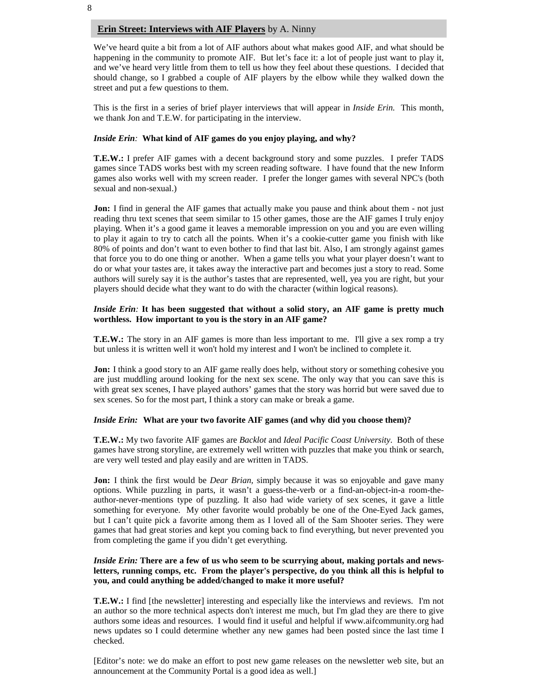# <span id="page-7-0"></span>**Erin Street: Interviews with AIF Players** by A. Ninny

We've heard quite a bit from a lot of AIF authors about what makes good AIF, and what should be happening in the community to promote AIF. But let's face it: a lot of people just want to play it, and we've heard very little from them to tell us how they feel about these questions. I decided that should change, so I grabbed a couple of AIF players by the elbow while they walked down the street and put a few questions to them.

This is the first in a series of brief player interviews that will appear in *Inside Erin.* This month, we thank Jon and T.E.W. for participating in the interview.

#### *Inside Erin:* **What kind of AIF games do you enjoy playing, and why?**

**T.E.W.:** I prefer AIF games with a decent background story and some puzzles. I prefer TADS games since TADS works best with my screen reading software. I have found that the new Inform games also works well with my screen reader. I prefer the longer games with several NPC's (both sexual and non-sexual.)

**Jon:** I find in general the AIF games that actually make you pause and think about them - not just reading thru text scenes that seem similar to 15 other games, those are the AIF games I truly enjoy playing. When it's a good game it leaves a memorable impression on you and you are even willing to play it again to try to catch all the points. When it's a cookie-cutter game you finish with like 80% of points and don't want to even bother to find that last bit. Also, I am strongly against games that force you to do one thing or another. When a game tells you what your player doesn't want to do or what your tastes are, it takes away the interactive part and becomes just a story to read. Some authors will surely say it is the author's tastes that are represented, well, yea you are right, but your players should decide what they want to do with the character (within logical reasons).

## *Inside Erin:* **It has been suggested that without a solid story, an AIF game is pretty much worthless. How important to you is the story in an AIF game?**

**T.E.W.:** The story in an AIF games is more than less important to me. I'll give a sex romp a try but unless it is written well it won't hold my interest and I won't be inclined to complete it.

**Jon:** I think a good story to an AIF game really does help, without story or something cohesive you are just muddling around looking for the next sex scene. The only way that you can save this is with great sex scenes, I have played authors' games that the story was horrid but were saved due to sex scenes. So for the most part, I think a story can make or break a game.

## *Inside Erin:* **What are your two favorite AIF games (and why did you choose them)?**

**T.E.W.:** My two favorite AIF games are *Backlot* and *Ideal Pacific Coast University*. Both of these games have strong storyline, are extremely well written with puzzles that make you think or search, are very well tested and play easily and are written in TADS.

**Jon:** I think the first would be *Dear Brian*, simply because it was so enjoyable and gave many options. While puzzling in parts, it wasn't a guess-the-verb or a find-an-object-in-a room-theauthor-never-mentions type of puzzling. It also had wide variety of sex scenes, it gave a little something for everyone. My other favorite would probably be one of the One-Eyed Jack games, but I can't quite pick a favorite among them as I loved all of the Sam Shooter series. They were games that had great stories and kept you coming back to find everything, but never prevented you from completing the game if you didn't get everything.

# *Inside Erin:* **There are a few of us who seem to be scurrying about, making portals and newsletters, running comps, etc. From the player's perspective, do you think all this is helpful to you, and could anything be added/changed to make it more useful?**

**T.E.W.:** I find [the newsletter] interesting and especially like the interviews and reviews. I'm not an author so the more technical aspects don't interest me much, but I'm glad they are there to give authors some ideas and resources. I would find it useful and helpful if www.aifcommunity.org had news updates so I could determine whether any new games had been posted since the last time I checked.

[Editor's note: we do make an effort to post new game releases on the newsletter web site, but an announcement at the Community Portal is a good idea as well.]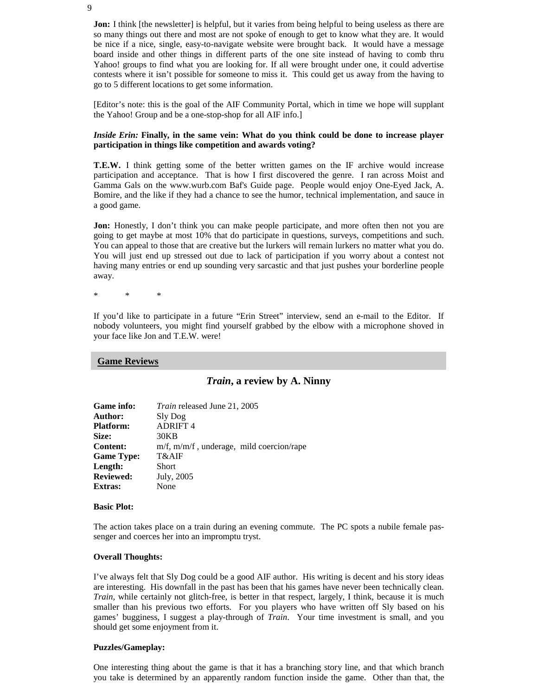**Jon:** I think [the newsletter] is helpful, but it varies from being helpful to being useless as there are so many things out there and most are not spoke of enough to get to know what they are. It would be nice if a nice, single, easy-to-navigate website were brought back. It would have a message board inside and other things in different parts of the one site instead of having to comb thru Yahoo! groups to find what you are looking for. If all were brought under one, it could advertise contests where it isn't possible for someone to miss it. This could get us away from the having to go to 5 different locations to get some information.

[Editor's note: this is the goal of the AIF Community Portal, which in time we hope will supplant the Yahoo! Group and be a one-stop-shop for all AIF info.]

# *Inside Erin:* **Finally***,* **in the same vein: What do you think could be done to increase player participation in things like competition and awards voting?**

**T.E.W.** I think getting some of the better written games on the IF archive would increase participation and acceptance. That is how I first discovered the genre. I ran across Moist and Gamma Gals on the www.wurb.com Baf's Guide page. People would enjoy One-Eyed Jack, A. Bomire, and the like if they had a chance to see the humor, technical implementation, and sauce in a good game.

**Jon:** Honestly, I don't think you can make people participate, and more often then not you are going to get maybe at most 10% that do participate in questions, surveys, competitions and such. You can appeal to those that are creative but the lurkers will remain lurkers no matter what you do. You will just end up stressed out due to lack of participation if you worry about a contest not having many entries or end up sounding very sarcastic and that just pushes your borderline people away.

\* \* \*

If you'd like to participate in a future "Erin Street" interview, send an e-mail to the Editor. If nobody volunteers, you might find yourself grabbed by the elbow with a microphone shoved in your face like Jon and T.E.W. were!

# <span id="page-8-0"></span>**Game Reviews**

# *Train***, a review by A. Ninny**

| <b>Game info:</b> | <i>Train</i> released June 21, 2005            |  |
|-------------------|------------------------------------------------|--|
| Author:           | Sly Dog                                        |  |
| <b>Platform:</b>  | <b>ADRIFT 4</b>                                |  |
| Size:             | 30KB                                           |  |
| <b>Content:</b>   | $m/f$ , $m/m/f$ , underage, mild coercion/rape |  |
| <b>Game Type:</b> | T&AIF                                          |  |
| Length:           | <b>Short</b>                                   |  |
| <b>Reviewed:</b>  | July, 2005                                     |  |
| <b>Extras:</b>    | None                                           |  |

## **Basic Plot:**

The action takes place on a train during an evening commute. The PC spots a nubile female passenger and coerces her into an impromptu tryst.

## **Overall Thoughts:**

I've always felt that Sly Dog could be a good AIF author. His writing is decent and his story ideas are interesting. His downfall in the past has been that his games have never been technically clean. *Train*, while certainly not glitch-free, is better in that respect, largely, I think, because it is much smaller than his previous two efforts. For you players who have written off Sly based on his games' bugginess, I suggest a play-through of *Train*. Your time investment is small, and you should get some enjoyment from it.

## **Puzzles/Gameplay:**

One interesting thing about the game is that it has a branching story line, and that which branch you take is determined by an apparently random function inside the game. Other than that, the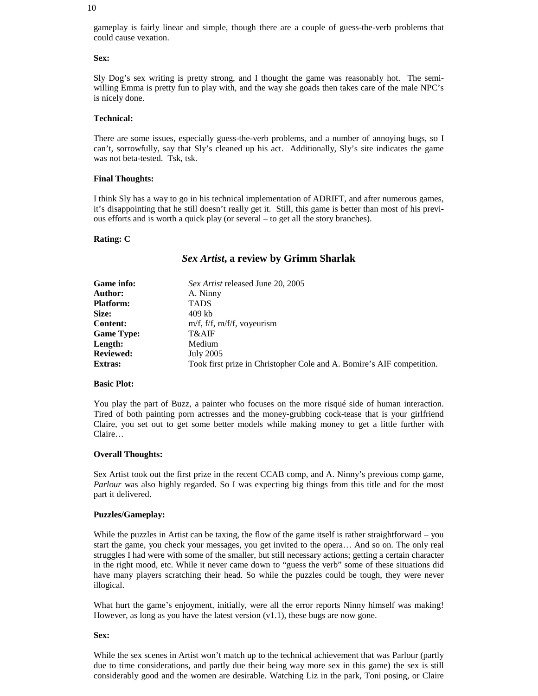10

gameplay is fairly linear and simple, though there are a couple of guess-the-verb problems that could cause vexation.

## **Sex:**

Sly Dog's sex writing is pretty strong, and I thought the game was reasonably hot. The semiwilling Emma is pretty fun to play with, and the way she goads then takes care of the male NPC's is nicely done.

## **Technical:**

There are some issues, especially guess-the-verb problems, and a number of annoying bugs, so I can't, sorrowfully, say that Sly's cleaned up his act. Additionally, Sly's site indicates the game was not beta-tested. Tsk, tsk.

## **Final Thoughts:**

I think Sly has a way to go in his technical implementation of ADRIFT, and after numerous games, it's disappointing that he still doesn't really get it. Still, this game is better than most of his previous efforts and is worth a quick play (or several – to get all the story branches).

## <span id="page-9-0"></span>**Rating: C**

| Game info:        | Sex Artist released June 20, 2005                                     |
|-------------------|-----------------------------------------------------------------------|
| Author:           | A. Ninny                                                              |
| <b>Platform:</b>  | <b>TADS</b>                                                           |
| Size:             | $409$ kb                                                              |
| <b>Content:</b>   | $m/f$ , f/f, $m/f/f$ , voyeurism                                      |
| <b>Game Type:</b> | T&AIF                                                                 |
| Length:           | Medium                                                                |
| <b>Reviewed:</b>  | July 2005                                                             |
| <b>Extras:</b>    | Took first prize in Christopher Cole and A. Bomire's AIF competition. |
|                   |                                                                       |

# *Sex Artist***, a review by Grimm Sharlak**

#### **Basic Plot:**

You play the part of Buzz, a painter who focuses on the more risqué side of human interaction. Tired of both painting porn actresses and the money-grubbing cock-tease that is your girlfriend Claire, you set out to get some better models while making money to get a little further with Claire…

#### **Overall Thoughts:**

Sex Artist took out the first prize in the recent CCAB comp, and A. Ninny's previous comp game, *Parlour* was also highly regarded. So I was expecting big things from this title and for the most part it delivered.

#### **Puzzles/Gameplay:**

While the puzzles in Artist can be taxing, the flow of the game itself is rather straightforward – you start the game, you check your messages, you get invited to the opera… And so on. The only real struggles I had were with some of the smaller, but still necessary actions; getting a certain character in the right mood, etc. While it never came down to "guess the verb" some of these situations did have many players scratching their head. So while the puzzles could be tough, they were never illogical.

What hurt the game's enjoyment, initially, were all the error reports Ninny himself was making! However, as long as you have the latest version (v1.1), these bugs are now gone.

#### **Sex:**

While the sex scenes in Artist won't match up to the technical achievement that was Parlour (partly due to time considerations, and partly due their being way more sex in this game) the sex is still considerably good and the women are desirable. Watching Liz in the park, Toni posing, or Claire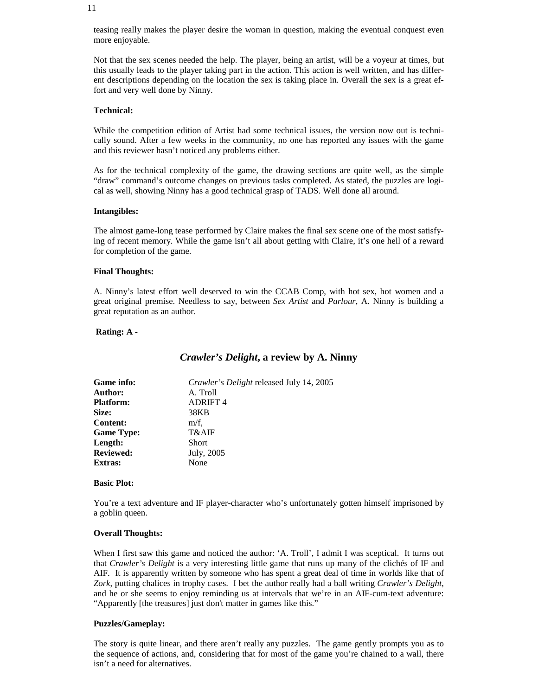teasing really makes the player desire the woman in question, making the eventual conquest even more enjoyable.

Not that the sex scenes needed the help. The player, being an artist, will be a voyeur at times, but this usually leads to the player taking part in the action. This action is well written, and has different descriptions depending on the location the sex is taking place in. Overall the sex is a great effort and very well done by Ninny.

## **Technical:**

While the competition edition of Artist had some technical issues, the version now out is technically sound. After a few weeks in the community, no one has reported any issues with the game and this reviewer hasn't noticed any problems either.

As for the technical complexity of the game, the drawing sections are quite well, as the simple "draw" command's outcome changes on previous tasks completed. As stated, the puzzles are logical as well, showing Ninny has a good technical grasp of TADS. Well done all around.

#### **Intangibles:**

The almost game-long tease performed by Claire makes the final sex scene one of the most satisfying of recent memory. While the game isn't all about getting with Claire, it's one hell of a reward for completion of the game.

## **Final Thoughts:**

A. Ninny's latest effort well deserved to win the CCAB Comp, with hot sex, hot women and a great original premise. Needless to say, between *Sex Artist* and *Parlour*, A. Ninny is building a great reputation as an author.

## <span id="page-10-0"></span>**Rating: A -**

# *Crawler's Delight***, a review by A. Ninny**

| Game info:        | Crawler's Delight released July 14, 2005 |
|-------------------|------------------------------------------|
| Author:           | A. Troll                                 |
| <b>Platform:</b>  | <b>ADRIFT 4</b>                          |
| Size:             | 38KB                                     |
| <b>Content:</b>   | $m/f$ .                                  |
| <b>Game Type:</b> | T&AIF                                    |
| Length:           | <b>Short</b>                             |
| <b>Reviewed:</b>  | July, 2005                               |
| <b>Extras:</b>    | None                                     |

## **Basic Plot:**

You're a text adventure and IF player-character who's unfortunately gotten himself imprisoned by a goblin queen.

#### **Overall Thoughts:**

When I first saw this game and noticed the author: 'A. Troll', I admit I was sceptical. It turns out that *Crawler's Delight* is a very interesting little game that runs up many of the clichés of IF and AIF. It is apparently written by someone who has spent a great deal of time in worlds like that of *Zork*, putting chalices in trophy cases. I bet the author really had a ball writing *Crawler's Delight*, and he or she seems to enjoy reminding us at intervals that we're in an AIF-cum-text adventure: "Apparently [the treasures] just don't matter in games like this."

## **Puzzles/Gameplay:**

The story is quite linear, and there aren't really any puzzles. The game gently prompts you as to the sequence of actions, and, considering that for most of the game you're chained to a wall, there isn't a need for alternatives.

11